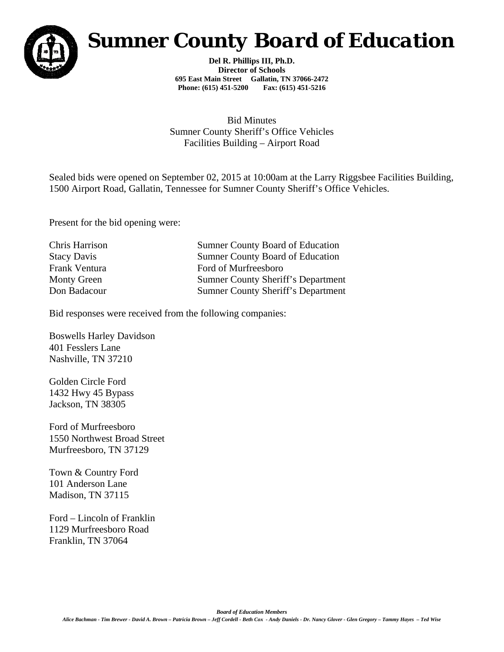

## *Sumner County Board of Education*

**Del R. Phillips III, Ph.D. Director of Schools 695 East Main Street Gallatin, TN 37066-2472 Phone: (615) 451-5200 Fax: (615) 451-5216** 

Bid Minutes Sumner County Sheriff's Office Vehicles Facilities Building – Airport Road

Sealed bids were opened on September 02, 2015 at 10:00am at the Larry Riggsbee Facilities Building, 1500 Airport Road, Gallatin, Tennessee for Sumner County Sheriff's Office Vehicles.

Present for the bid opening were:

Chris Harrison Sumner County Board of Education Stacy Davis Sumner County Board of Education Frank Ventura Ford of Murfreesboro Monty Green Sumner County Sheriff's Department Don Badacour Sumner County Sheriff's Department

Bid responses were received from the following companies:

Boswells Harley Davidson 401 Fesslers Lane Nashville, TN 37210

Golden Circle Ford 1432 Hwy 45 Bypass Jackson, TN 38305

Ford of Murfreesboro 1550 Northwest Broad Street Murfreesboro, TN 37129

Town & Country Ford 101 Anderson Lane Madison, TN 37115

Ford – Lincoln of Franklin 1129 Murfreesboro Road Franklin, TN 37064